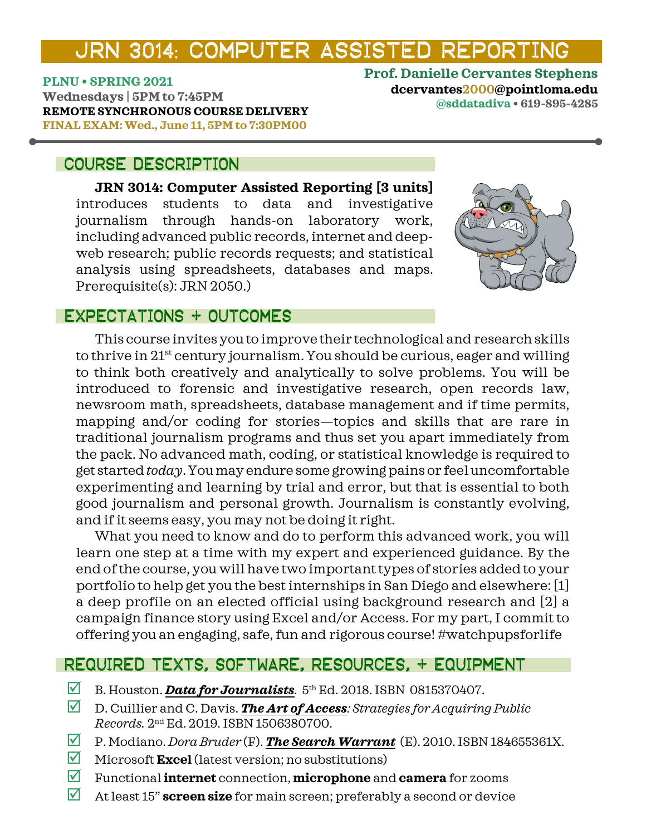# JRN 3014: COMPUTER ASSISTED REPORTING

**PLNU • SPRING 2021**

**Wednesdays | 5PM to 7:45PM REMOTE SYNCHRONOUS COURSE DELIVERY FINAL EXAM: Wed., June 11, 5PM to 7:30PM00**

## COURSE DESCRIPTION

**JRN 3014: Computer Assisted Reporting [3 units]**  introduces students to data and investigative journalism through hands-on laboratory work, including advanced public records, internet and deepweb research; public records requests; and statistical analysis using spreadsheets, databases and maps. Prerequisite(s): JRN 2050.)



**@sddatadiva • 619-895-4285**

**Prof. Danielle Cervantes Stephens dcervantes2000@pointloma.edu**

## ExpectationS + OUTCOMES

This course invites you to improve their technological and research skills to thrive in 21<sup>st</sup> century journalism. You should be curious, eager and willing to think both creatively and analytically to solve problems. You will be introduced to forensic and investigative research, open records law, newsroom math, spreadsheets, database management and if time permits, mapping and/or coding for stories—topics and skills that are rare in traditional journalism programs and thus set you apart immediately from the pack. No advanced math, coding, or statistical knowledge is required to get started *today*. You may endure some growing pains or feel uncomfortable experimenting and learning by trial and error, but that is essential to both good journalism and personal growth. Journalism is constantly evolving, and if it seems easy, you may not be doing it right.

What you need to know and do to perform this advanced work, you will learn one step at a time with my expert and experienced guidance. By the end of the course, you will have two important types of stories added to your portfolio to help get you the best internships in San Diego and elsewhere: [1] a deep profile on an elected official using background research and [2] a campaign finance story using Excel and/or Access. For my part, I commit to offering you an engaging, safe, fun and rigorous course! #watchpupsforlife

## REQUIRED TEXTS, SOFTWARE, RESOURCES, + EQUIPMENT

- B. Houston. **[Data for Journalists](https://read.amazon.com/kp/embed?asin=B07M5994DB&preview=newtab&linkCode=kpe&ref_=cm_sw_r_kb_dp_7DFT52CNJWKF9ENRKS4H)**. 5th Ed. 2018. ISBN 0815370407.
- D. Cuillier and C. Davis. *[The Art of Access](https://read.amazon.com/kp/embed?asin=B07VBSV7GP&preview=newtab&linkCode=kpe&ref_=cm_sw_r_kb_dp_4WB154K692QFA68BAYH0): Strategies for Acquiring Public Records.* 2nd Ed. 2019. ISBN 1506380700.
- P. Modiano. *Dora Bruder* (F). *[The Search Warrant](https://www.amazon.com/Search-Warrant-Dora-Bruder/dp/184655361X/ref=sr_1_1?dchild=1&keywords=The+Search+Warrant+modiano&qid=1614811998&s=books&sr=1-1)* (E). 2010. ISBN 184655361X.
- Microsoft **Excel** (latest version; no substitutions)
- Functional **internet** connection, **microphone** and **camera** for zooms
- At least 15" **screen size** for main screen; preferably a second or device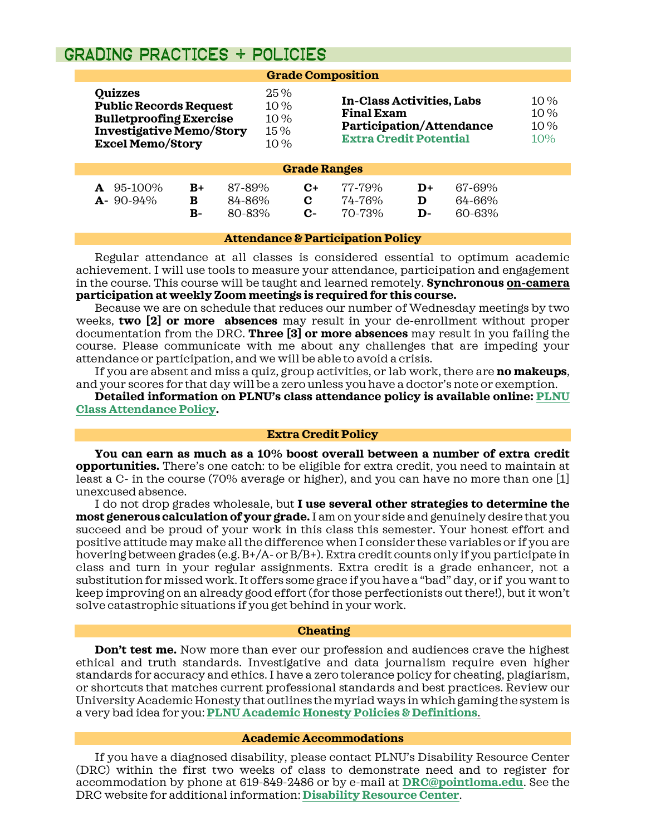### grading PRACTICES + POLICIES

|                                                                                                                                                 |                   |                            |                                   | <b>Grade Composition</b>                                                                                                  |                          |                            |  |
|-------------------------------------------------------------------------------------------------------------------------------------------------|-------------------|----------------------------|-----------------------------------|---------------------------------------------------------------------------------------------------------------------------|--------------------------|----------------------------|--|
| <b>Quizzes</b><br><b>Public Records Request</b><br><b>Bulletproofing Exercise</b><br><b>Investigative Memo/Story</b><br><b>Excel Memo/Story</b> |                   |                            | 25%<br>10%<br>10 %<br>15%<br>10 % | <b>In-Class Activities, Labs</b><br><b>Final Exam</b><br><b>Participation/Attendance</b><br><b>Extra Credit Potential</b> |                          | 10 %<br>10 %<br>10%<br>10% |  |
|                                                                                                                                                 |                   |                            | <b>Grade Ranges</b>               |                                                                                                                           |                          |                            |  |
| 95-100%<br>$A - 90 - 94\%$                                                                                                                      | $B+$<br>в<br>$B-$ | 87-89%<br>84-86%<br>80-83% | $C+$<br>C<br>C-                   | 77-79%<br>74-76%<br>70-73%                                                                                                | $\mathbf{D}+$<br>D<br>D- | 67-69%<br>64-66%<br>60-63% |  |

#### **Attendance & Participation Policy**

Regular attendance at all classes is considered essential to optimum academic achievement. I will use tools to measure your attendance, participation and engagement in the course. This course will be taught and learned remotely. **Synchronous on-camera participation at weekly Zoom meetings is required for this course.**

Because we are on schedule that reduces our number of Wednesday meetings by two weeks, **two [2] or more absences** may result in your de-enrollment without proper documentation from the DRC. **Three [3] or more absences** may result in you failing the course. Please communicate with me about any challenges that are impeding your attendance or participation, and we will be able to avoid a crisis.

If you are absent and miss a quiz, group activities, or lab work, there are **no makeups**, and your scores for that day will be a zero unless you have a doctor's note or exemption.

**Detailed information on PLNU's class attendance policy is available online: [PLNU](https://catalog.pointloma.edu/content.php?catoid=46&navoid=2650#Class_Attendance)  [Class Attendance Policy.](https://catalog.pointloma.edu/content.php?catoid=46&navoid=2650#Class_Attendance)**

#### **Extra Credit Policy**

**You can earn as much as a 10% boost overall between a number of extra credit opportunities.** There's one catch: to be eligible for extra credit, you need to maintain at least a C- in the course (70% average or higher), and you can have no more than one [1] unexcused absence.

I do not drop grades wholesale, but **I use several other strategies to determine the most generous calculation of your grade.**I am on your side and genuinely desire that you succeed and be proud of your work in this class this semester. Your honest effort and positive attitude may make all the difference when I consider these variables or if you are hovering between grades (e.g. B+/A- or B/B+). Extra credit counts only if you participate in class and turn in your regular assignments. Extra credit is a grade enhancer, not a substitution for missed work.It offers some grace if you have a "bad" day, or if you want to keep improving on an already good effort(for those perfectionists out there!), but it won't solve catastrophic situations if you get behind in your work.

#### **Cheating**

**Don't test me.** Now more than ever our profession and audiences crave the highest ethical and truth standards. Investigative and data journalism require even higher standards for accuracy and ethics. I have a zero tolerance policy for cheating, plagiarism, or shortcuts that matches current professional standards and best practices. Review our University Academic Honestythat outlines the myriad ways in which gaming the system is a very bad idea for you: **[PLNU Academic Honesty Policies & Definitions](https://catalog.pointloma.edu/content.php?catoid=49&navoid=2783)**.

#### **Academic Accommodations**

If you have a diagnosed disability, please contact PLNU's Disability Resource Center (DRC) within the first two weeks of class to demonstrate need and to register for accommodation by phone at 619-849-2486 or by e-mail at **[DRC@pointloma.edu](mailto:DRC@pointloma.edu)**. See the DRC website for additional information: **[Disability Resource Center](https://www.pointloma.edu/offices/disability-resource-center)**.